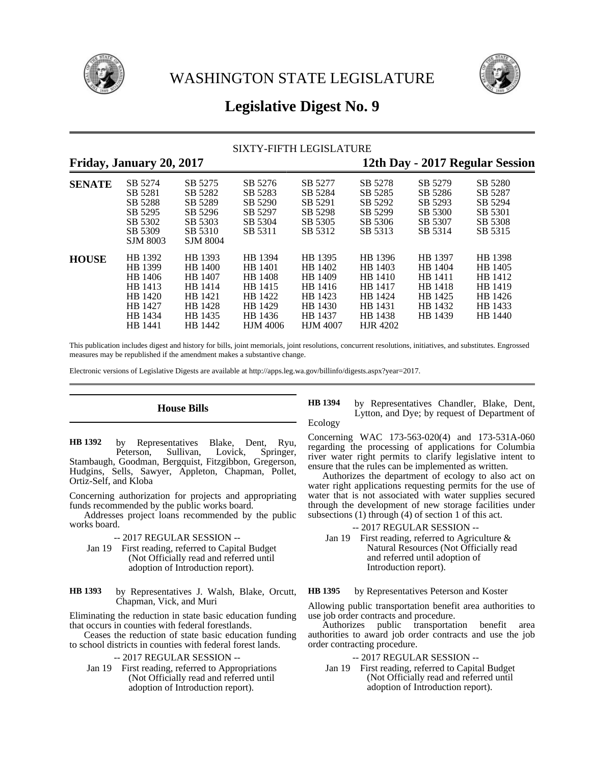



# **Legislative Digest No. 9**

# SIXTY-FIFTH LEGISLATURE

# **Friday, January 20, 2017 12th Day - 2017 Regular Session**

| $\sim$ $\sim$ $\sim$ |                                                                                      |                                                                                      |                                                                                              |                                                                                              | ີ∙                                                                                           |                                                                           | 0                                                                         |
|----------------------|--------------------------------------------------------------------------------------|--------------------------------------------------------------------------------------|----------------------------------------------------------------------------------------------|----------------------------------------------------------------------------------------------|----------------------------------------------------------------------------------------------|---------------------------------------------------------------------------|---------------------------------------------------------------------------|
| <b>SENATE</b>        | SB 5274<br>SB 5281<br>SB 5288<br>SB 5295<br>SB 5302<br>SB 5309<br><b>SJM 8003</b>    | SB 5275<br>SB 5282<br>SB 5289<br>SB 5296<br>SB 5303<br>SB 5310<br><b>SJM 8004</b>    | SB 5276<br>SB 5283<br>SB 5290<br>SB 5297<br>SB 5304<br>SB 5311                               | SB 5277<br>SB 5284<br>SB 5291<br>SB 5298<br>SB 5305<br>SB 5312                               | SB 5278<br>SB 5285<br>SB 5292<br>SB 5299<br>SB 5306<br>SB 5313                               | SB 5279<br>SB 5286<br>SB 5293<br>SB 5300<br>SB 5307<br>SB 5314            | SB 5280<br>SB 5287<br>SB 5294<br>SB 5301<br>SB 5308<br>SB 5315            |
| <b>HOUSE</b>         | HB 1392<br>HB 1399<br>HB 1406<br>HB 1413<br>HB 1420<br>HB 1427<br>HB 1434<br>HB 1441 | HB 1393<br>HB 1400<br>HB 1407<br>HB 1414<br>HB 1421<br>HB 1428<br>HB 1435<br>HB 1442 | HB 1394<br>HB 1401<br>HB 1408<br>HB 1415<br>HB 1422<br>HB 1429<br>HB 1436<br><b>HJM 4006</b> | HB 1395<br>HB 1402<br>HB 1409<br>HB 1416<br>HB 1423<br>HB 1430<br>HB 1437<br><b>HJM 4007</b> | HB 1396<br>HB 1403<br>HB 1410<br>HB 1417<br>HB 1424<br>HB 1431<br>HB 1438<br><b>HJR 4202</b> | HB 1397<br>HB 1404<br>HR 1411<br>HB 1418<br>HB 1425<br>HB 1432<br>HB 1439 | HB 1398<br>HB 1405<br>HB 1412<br>HB 1419<br>HB 1426<br>HB 1433<br>HB 1440 |

This publication includes digest and history for bills, joint memorials, joint resolutions, concurrent resolutions, initiatives, and substitutes. Engrossed measures may be republished if the amendment makes a substantive change.

Electronic versions of Legislative Digests are available at http://apps.leg.wa.gov/billinfo/digests.aspx?year=2017.

**House Bills**

by Representatives Blake, Dent, Ryu, Peterson, Sullivan, Lovick, Springer, Stambaugh, Goodman, Bergquist, Fitzgibbon, Gregerson, Hudgins, Sells, Sawyer, Appleton, Chapman, Pollet, Ortiz-Self, and Kloba **HB 1392**

Concerning authorization for projects and appropriating funds recommended by the public works board.

Addresses project loans recommended by the public works board.

-- 2017 REGULAR SESSION --

- Jan 19 First reading, referred to Capital Budget (Not Officially read and referred until adoption of Introduction report).
- by Representatives J. Walsh, Blake, Orcutt, Chapman, Vick, and Muri **HB 1393**

Eliminating the reduction in state basic education funding that occurs in counties with federal forestlands.

Ceases the reduction of state basic education funding to school districts in counties with federal forest lands.

-- 2017 REGULAR SESSION --

Jan 19 First reading, referred to Appropriations (Not Officially read and referred until adoption of Introduction report).

by Representatives Chandler, Blake, Dent, Lytton, and Dye; by request of Department of Ecology **HB 1394**

Concerning WAC 173-563-020(4) and 173-531A-060 regarding the processing of applications for Columbia river water right permits to clarify legislative intent to ensure that the rules can be implemented as written.

Authorizes the department of ecology to also act on water right applications requesting permits for the use of water that is not associated with water supplies secured through the development of new storage facilities under subsections (1) through (4) of section 1 of this act.

-- 2017 REGULAR SESSION --

Jan 19 First reading, referred to Agriculture & Natural Resources (Not Officially read and referred until adoption of Introduction report).

by Representatives Peterson and Koster **HB 1395**

Allowing public transportation benefit area authorities to use job order contracts and procedure.

Authorizes public transportation benefit area authorities to award job order contracts and use the job order contracting procedure.

## -- 2017 REGULAR SESSION --

Jan 19 First reading, referred to Capital Budget (Not Officially read and referred until adoption of Introduction report).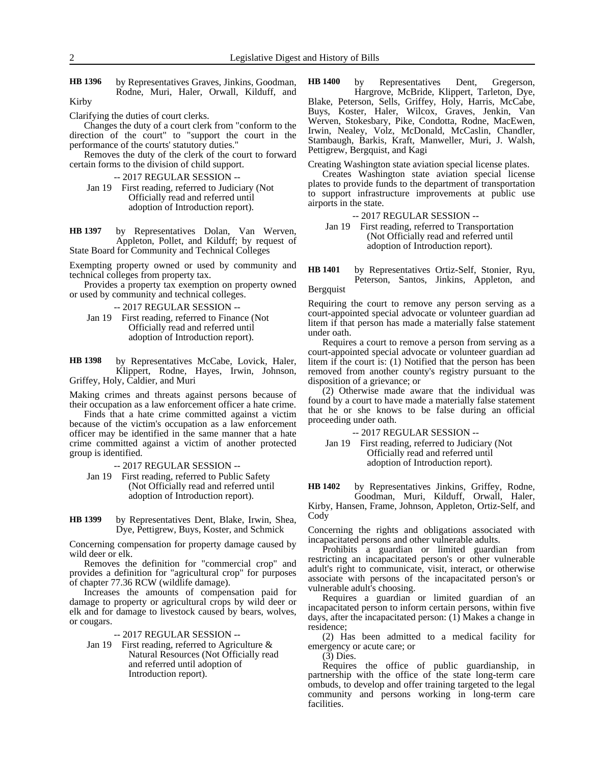by Representatives Graves, Jinkins, Goodman, Rodne, Muri, Haler, Orwall, Kilduff, and **HB 1396**

Kirby

Clarifying the duties of court clerks.

Changes the duty of a court clerk from "conform to the direction of the court" to "support the court in the performance of the courts' statutory duties."

Removes the duty of the clerk of the court to forward certain forms to the division of child support.

-- 2017 REGULAR SESSION --

Jan 19 First reading, referred to Judiciary (Not Officially read and referred until adoption of Introduction report).

by Representatives Dolan, Van Werven, Appleton, Pollet, and Kilduff; by request of State Board for Community and Technical Colleges **HB 1397**

Exempting property owned or used by community and technical colleges from property tax.

Provides a property tax exemption on property owned or used by community and technical colleges.

-- 2017 REGULAR SESSION --

Jan 19 First reading, referred to Finance (Not Officially read and referred until adoption of Introduction report).

by Representatives McCabe, Lovick, Haler, Klippert, Rodne, Hayes, Irwin, Johnson, Griffey, Holy, Caldier, and Muri **HB 1398**

Making crimes and threats against persons because of their occupation as a law enforcement officer a hate crime.

Finds that a hate crime committed against a victim because of the victim's occupation as a law enforcement officer may be identified in the same manner that a hate crime committed against a victim of another protected group is identified.

-- 2017 REGULAR SESSION --

- Jan 19 First reading, referred to Public Safety (Not Officially read and referred until adoption of Introduction report).
- by Representatives Dent, Blake, Irwin, Shea, Dye, Pettigrew, Buys, Koster, and Schmick **HB 1399**

Concerning compensation for property damage caused by wild deer or elk.

Removes the definition for "commercial crop" and provides a definition for "agricultural crop" for purposes of chapter 77.36 RCW (wildlife damage).

Increases the amounts of compensation paid for damage to property or agricultural crops by wild deer or elk and for damage to livestock caused by bears, wolves, or cougars.

-- 2017 REGULAR SESSION --

Jan 19 First reading, referred to Agriculture & Natural Resources (Not Officially read and referred until adoption of Introduction report).

by Representatives Dent, Gregerson, Hargrove, McBride, Klippert, Tarleton, Dye, Blake, Peterson, Sells, Griffey, Holy, Harris, McCabe, Buys, Koster, Haler, Wilcox, Graves, Jenkin, Van Werven, Stokesbary, Pike, Condotta, Rodne, MacEwen, Irwin, Nealey, Volz, McDonald, McCaslin, Chandler, Stambaugh, Barkis, Kraft, Manweller, Muri, J. Walsh, Pettigrew, Bergquist, and Kagi **HB 1400**

Creating Washington state aviation special license plates.

Creates Washington state aviation special license plates to provide funds to the department of transportation to support infrastructure improvements at public use airports in the state.

-- 2017 REGULAR SESSION --

Jan 19 First reading, referred to Transportation (Not Officially read and referred until adoption of Introduction report).

by Representatives Ortiz-Self, Stonier, Ryu, Peterson, Santos, Jinkins, Appleton, and **HB 1401**

Bergquist

Requiring the court to remove any person serving as a court-appointed special advocate or volunteer guardian ad litem if that person has made a materially false statement under oath.

Requires a court to remove a person from serving as a court-appointed special advocate or volunteer guardian ad litem if the court is: (1) Notified that the person has been removed from another county's registry pursuant to the disposition of a grievance; or

(2) Otherwise made aware that the individual was found by a court to have made a materially false statement that he or she knows to be false during an official proceeding under oath.

-- 2017 REGULAR SESSION --

Jan 19 First reading, referred to Judiciary (Not Officially read and referred until adoption of Introduction report).

by Representatives Jinkins, Griffey, Rodne, **HB 1402**

Goodman, Muri, Kilduff, Orwall, Haler, Kirby, Hansen, Frame, Johnson, Appleton, Ortiz-Self, and Cody

Concerning the rights and obligations associated with incapacitated persons and other vulnerable adults.

Prohibits a guardian or limited guardian from restricting an incapacitated person's or other vulnerable adult's right to communicate, visit, interact, or otherwise associate with persons of the incapacitated person's or vulnerable adult's choosing.

Requires a guardian or limited guardian of an incapacitated person to inform certain persons, within five days, after the incapacitated person: (1) Makes a change in residence;

(2) Has been admitted to a medical facility for emergency or acute care; or

(3) Dies.

Requires the office of public guardianship, in partnership with the office of the state long-term care ombuds, to develop and offer training targeted to the legal community and persons working in long-term care facilities.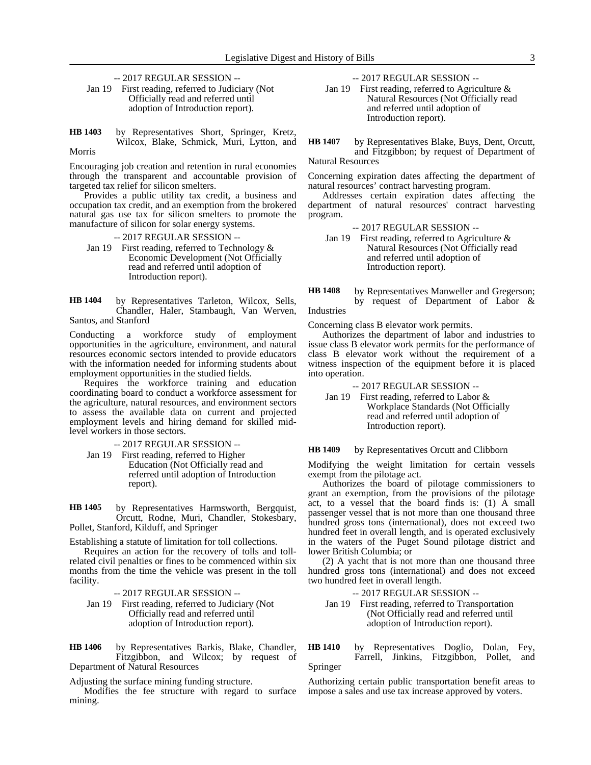-- 2017 REGULAR SESSION --

- Jan 19 First reading, referred to Judiciary (Not Officially read and referred until adoption of Introduction report).
- by Representatives Short, Springer, Kretz, Wilcox, Blake, Schmick, Muri, Lytton, and Morris **HB 1403**

Encouraging job creation and retention in rural economies through the transparent and accountable provision of targeted tax relief for silicon smelters.

Provides a public utility tax credit, a business and occupation tax credit, and an exemption from the brokered natural gas use tax for silicon smelters to promote the manufacture of silicon for solar energy systems.

- -- 2017 REGULAR SESSION --
- Jan 19 First reading, referred to Technology & Economic Development (Not Officially read and referred until adoption of Introduction report).

by Representatives Tarleton, Wilcox, Sells, Chandler, Haler, Stambaugh, Van Werven, Santos, and Stanford **HB 1404**

Conducting a workforce study of employment opportunities in the agriculture, environment, and natural resources economic sectors intended to provide educators with the information needed for informing students about employment opportunities in the studied fields.

Requires the workforce training and education coordinating board to conduct a workforce assessment for the agriculture, natural resources, and environment sectors to assess the available data on current and projected employment levels and hiring demand for skilled midlevel workers in those sectors.

-- 2017 REGULAR SESSION --

Jan 19 First reading, referred to Higher Education (Not Officially read and referred until adoption of Introduction report).

by Representatives Harmsworth, Bergquist, Orcutt, Rodne, Muri, Chandler, Stokesbary, Pollet, Stanford, Kilduff, and Springer **HB 1405**

Establishing a statute of limitation for toll collections.

Requires an action for the recovery of tolls and tollrelated civil penalties or fines to be commenced within six months from the time the vehicle was present in the toll facility.

-- 2017 REGULAR SESSION --

Jan 19 First reading, referred to Judiciary (Not Officially read and referred until adoption of Introduction report).

by Representatives Barkis, Blake, Chandler, Fitzgibbon, and Wilcox; by request of Department of Natural Resources **HB 1406**

Adjusting the surface mining funding structure.

Modifies the fee structure with regard to surface mining.

-- 2017 REGULAR SESSION --

- Jan 19 First reading, referred to Agriculture & Natural Resources (Not Officially read and referred until adoption of Introduction report).
- by Representatives Blake, Buys, Dent, Orcutt, and Fitzgibbon; by request of Department of Natural Resources **HB 1407**

Concerning expiration dates affecting the department of natural resources' contract harvesting program.

Addresses certain expiration dates affecting the department of natural resources' contract harvesting program.

-- 2017 REGULAR SESSION --

Jan 19 First reading, referred to Agriculture & Natural Resources (Not Officially read and referred until adoption of Introduction report).

by Representatives Manweller and Gregerson; by request of Department of Labor & Industries **HB 1408**

Concerning class B elevator work permits.

Authorizes the department of labor and industries to issue class B elevator work permits for the performance of class B elevator work without the requirement of a witness inspection of the equipment before it is placed into operation.

-- 2017 REGULAR SESSION --

Jan 19 First reading, referred to Labor & Workplace Standards (Not Officially read and referred until adoption of Introduction report).

by Representatives Orcutt and Clibborn **HB 1409**

Modifying the weight limitation for certain vessels exempt from the pilotage act.

Authorizes the board of pilotage commissioners to grant an exemption, from the provisions of the pilotage act, to a vessel that the board finds is:  $(1)$  A small passenger vessel that is not more than one thousand three hundred gross tons (international), does not exceed two hundred feet in overall length, and is operated exclusively in the waters of the Puget Sound pilotage district and lower British Columbia; or

(2) A yacht that is not more than one thousand three hundred gross tons (international) and does not exceed two hundred feet in overall length.

-- 2017 REGULAR SESSION --

Jan 19 First reading, referred to Transportation (Not Officially read and referred until adoption of Introduction report).

by Representatives Doglio, Dolan, Fey, Farrell, Jinkins, Fitzgibbon, Pollet, and Springer **HB 1410**

Authorizing certain public transportation benefit areas to impose a sales and use tax increase approved by voters.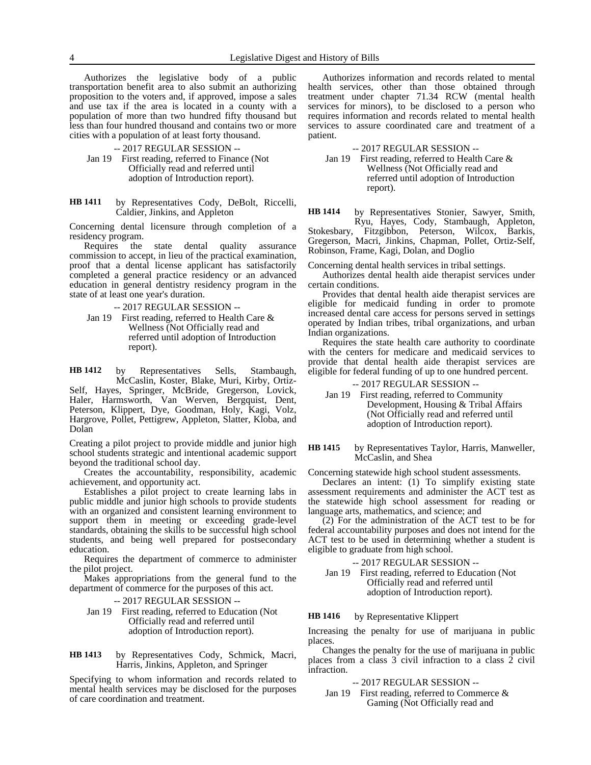Authorizes the legislative body of a public transportation benefit area to also submit an authorizing proposition to the voters and, if approved, impose a sales and use tax if the area is located in a county with a population of more than two hundred fifty thousand but less than four hundred thousand and contains two or more cities with a population of at least forty thousand.

### -- 2017 REGULAR SESSION --

- Jan 19 First reading, referred to Finance (Not Officially read and referred until adoption of Introduction report).
- by Representatives Cody, DeBolt, Riccelli, Caldier, Jinkins, and Appleton **HB 1411**

Concerning dental licensure through completion of a residency program.

Requires the state dental quality assurance commission to accept, in lieu of the practical examination, proof that a dental license applicant has satisfactorily completed a general practice residency or an advanced education in general dentistry residency program in the state of at least one year's duration.

-- 2017 REGULAR SESSION --

Jan 19 First reading, referred to Health Care & Wellness (Not Officially read and referred until adoption of Introduction report).

by Representatives Sells, Stambaugh, McCaslin, Koster, Blake, Muri, Kirby, Ortiz-Self, Hayes, Springer, McBride, Gregerson, Lovick, Haler, Harmsworth, Van Werven, Bergquist, Dent, Peterson, Klippert, Dye, Goodman, Holy, Kagi, Volz, Hargrove, Pollet, Pettigrew, Appleton, Slatter, Kloba, and Dolan **HB 1412**

Creating a pilot project to provide middle and junior high school students strategic and intentional academic support beyond the traditional school day.

Creates the accountability, responsibility, academic achievement, and opportunity act.

Establishes a pilot project to create learning labs in public middle and junior high schools to provide students with an organized and consistent learning environment to support them in meeting or exceeding grade-level standards, obtaining the skills to be successful high school students, and being well prepared for postsecondary education.

Requires the department of commerce to administer the pilot project.

Makes appropriations from the general fund to the department of commerce for the purposes of this act.

-- 2017 REGULAR SESSION --

Jan 19 First reading, referred to Education (Not Officially read and referred until adoption of Introduction report).

by Representatives Cody, Schmick, Macri, Harris, Jinkins, Appleton, and Springer **HB 1413**

Specifying to whom information and records related to mental health services may be disclosed for the purposes of care coordination and treatment.

Authorizes information and records related to mental health services, other than those obtained through treatment under chapter 71.34 RCW (mental health services for minors), to be disclosed to a person who requires information and records related to mental health services to assure coordinated care and treatment of a patient.

-- 2017 REGULAR SESSION --

Jan 19 First reading, referred to Health Care & Wellness (Not Officially read and referred until adoption of Introduction report).

by Representatives Stonier, Sawyer, Smith, Ryu, Hayes, Cody, Stambaugh, Appleton, Stokesbary, Fitzgibbon, Peterson, Wilcox, Barkis, **HB 1414**

Fitzgibbon, Peterson, Wilcox, Barkis, Gregerson, Macri, Jinkins, Chapman, Pollet, Ortiz-Self, Robinson, Frame, Kagi, Dolan, and Doglio

Concerning dental health services in tribal settings.

Authorizes dental health aide therapist services under certain conditions.

Provides that dental health aide therapist services are eligible for medicaid funding in order to promote increased dental care access for persons served in settings operated by Indian tribes, tribal organizations, and urban Indian organizations.

Requires the state health care authority to coordinate with the centers for medicare and medicaid services to provide that dental health aide therapist services are eligible for federal funding of up to one hundred percent.

-- 2017 REGULAR SESSION --

Jan 19 First reading, referred to Community Development, Housing & Tribal Affairs (Not Officially read and referred until adoption of Introduction report).

#### by Representatives Taylor, Harris, Manweller, McCaslin, and Shea **HB 1415**

Concerning statewide high school student assessments.

Declares an intent: (1) To simplify existing state assessment requirements and administer the ACT test as the statewide high school assessment for reading or language arts, mathematics, and science; and

(2) For the administration of the ACT test to be for federal accountability purposes and does not intend for the ACT test to be used in determining whether a student is eligible to graduate from high school.

-- 2017 REGULAR SESSION --

Jan 19 First reading, referred to Education (Not Officially read and referred until adoption of Introduction report).

#### by Representative Klippert **HB 1416**

Increasing the penalty for use of marijuana in public places.

Changes the penalty for the use of marijuana in public places from a class 3 civil infraction to a class 2 civil infraction.

-- 2017 REGULAR SESSION --

Jan 19 First reading, referred to Commerce & Gaming (Not Officially read and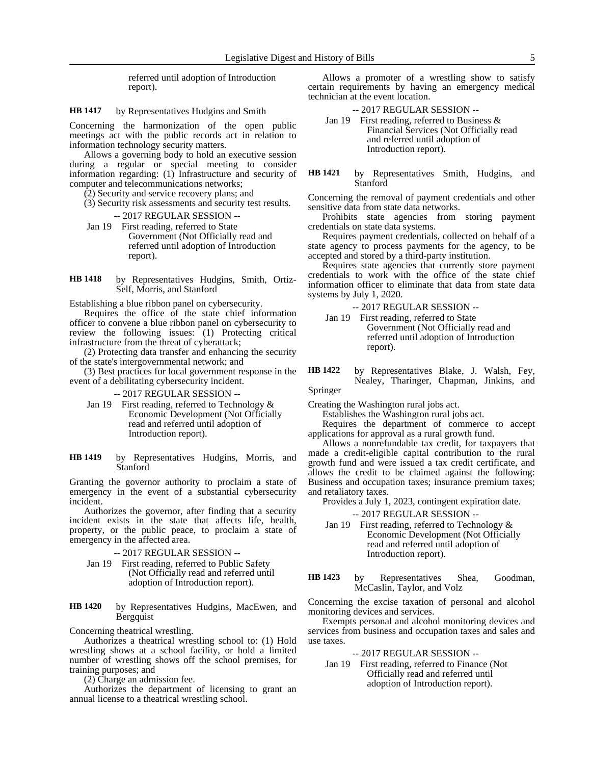referred until adoption of Introduction report).

#### by Representatives Hudgins and Smith **HB 1417**

Concerning the harmonization of the open public meetings act with the public records act in relation to information technology security matters.

Allows a governing body to hold an executive session during a regular or special meeting to consider information regarding: (1) Infrastructure and security of computer and telecommunications networks;

(2) Security and service recovery plans; and

- (3) Security risk assessments and security test results. -- 2017 REGULAR SESSION --
- Jan 19 First reading, referred to State Government (Not Officially read and referred until adoption of Introduction report).
- by Representatives Hudgins, Smith, Ortiz-Self, Morris, and Stanford **HB 1418**

Establishing a blue ribbon panel on cybersecurity.

Requires the office of the state chief information officer to convene a blue ribbon panel on cybersecurity to review the following issues: (1) Protecting critical infrastructure from the threat of cyberattack;

(2) Protecting data transfer and enhancing the security of the state's intergovernmental network; and

(3) Best practices for local government response in the event of a debilitating cybersecurity incident.

-- 2017 REGULAR SESSION --

- Jan 19 First reading, referred to Technology & Economic Development (Not Officially read and referred until adoption of Introduction report).
- by Representatives Hudgins, Morris, and **Stanford HB 1419**

Granting the governor authority to proclaim a state of emergency in the event of a substantial cybersecurity incident.

Authorizes the governor, after finding that a security incident exists in the state that affects life, health, property, or the public peace, to proclaim a state of emergency in the affected area.

- -- 2017 REGULAR SESSION --
- Jan 19 First reading, referred to Public Safety (Not Officially read and referred until adoption of Introduction report).
- by Representatives Hudgins, MacEwen, and Bergquist **HB 1420**

Concerning theatrical wrestling.

Authorizes a theatrical wrestling school to: (1) Hold wrestling shows at a school facility, or hold a limited number of wrestling shows off the school premises, for training purposes; and

(2) Charge an admission fee.

Authorizes the department of licensing to grant an annual license to a theatrical wrestling school.

Allows a promoter of a wrestling show to satisfy certain requirements by having an emergency medical technician at the event location.

# -- 2017 REGULAR SESSION --

- Jan 19 First reading, referred to Business & Financial Services (Not Officially read and referred until adoption of Introduction report).
- by Representatives Smith, Hudgins, and Stanford **HB 1421**

Concerning the removal of payment credentials and other sensitive data from state data networks.

Prohibits state agencies from storing payment credentials on state data systems.

Requires payment credentials, collected on behalf of a state agency to process payments for the agency, to be accepted and stored by a third-party institution.

Requires state agencies that currently store payment credentials to work with the office of the state chief information officer to eliminate that data from state data systems by July 1, 2020.

-- 2017 REGULAR SESSION --

- Jan 19 First reading, referred to State Government (Not Officially read and referred until adoption of Introduction report).
- by Representatives Blake, J. Walsh, Fey, Nealey, Tharinger, Chapman, Jinkins, and **HB 1422**

Springer

Creating the Washington rural jobs act.

Establishes the Washington rural jobs act.

Requires the department of commerce to accept applications for approval as a rural growth fund.

Allows a nonrefundable tax credit, for taxpayers that made a credit-eligible capital contribution to the rural growth fund and were issued a tax credit certificate, and allows the credit to be claimed against the following: Business and occupation taxes; insurance premium taxes; and retaliatory taxes.

Provides a July 1, 2023, contingent expiration date.

-- 2017 REGULAR SESSION --

- Jan 19 First reading, referred to Technology & Economic Development (Not Officially read and referred until adoption of Introduction report).
- by Representatives Shea, Goodman, McCaslin, Taylor, and Volz **HB 1423**

Concerning the excise taxation of personal and alcohol monitoring devices and services.

Exempts personal and alcohol monitoring devices and services from business and occupation taxes and sales and use taxes.

# -- 2017 REGULAR SESSION --

Jan 19 First reading, referred to Finance (Not Officially read and referred until adoption of Introduction report).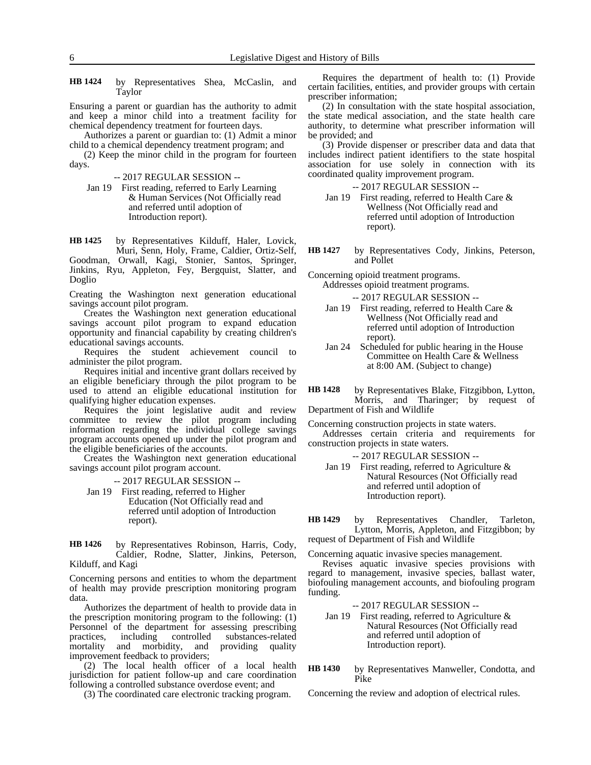by Representatives Shea, McCaslin, and Taylor **HB 1424**

Ensuring a parent or guardian has the authority to admit and keep a minor child into a treatment facility for chemical dependency treatment for fourteen days.

Authorizes a parent or guardian to: (1) Admit a minor child to a chemical dependency treatment program; and

(2) Keep the minor child in the program for fourteen days.

-- 2017 REGULAR SESSION --

Jan 19 First reading, referred to Early Learning & Human Services (Not Officially read and referred until adoption of Introduction report).

by Representatives Kilduff, Haler, Lovick, Muri, Senn, Holy, Frame, Caldier, Ortiz-Self, Goodman, Orwall, Kagi, Stonier, Santos, Springer, Jinkins, Ryu, Appleton, Fey, Bergquist, Slatter, and Doglio **HB 1425**

Creating the Washington next generation educational savings account pilot program.

Creates the Washington next generation educational savings account pilot program to expand education opportunity and financial capability by creating children's educational savings accounts.

Requires the student achievement council to administer the pilot program.

Requires initial and incentive grant dollars received by an eligible beneficiary through the pilot program to be used to attend an eligible educational institution for qualifying higher education expenses.

Requires the joint legislative audit and review committee to review the pilot program including information regarding the individual college savings program accounts opened up under the pilot program and the eligible beneficiaries of the accounts.

Creates the Washington next generation educational savings account pilot program account.

-- 2017 REGULAR SESSION --

Jan 19 First reading, referred to Higher Education (Not Officially read and referred until adoption of Introduction report).

by Representatives Robinson, Harris, Cody, Caldier, Rodne, Slatter, Jinkins, Peterson, Kilduff, and Kagi **HB 1426**

Concerning persons and entities to whom the department of health may provide prescription monitoring program data.

Authorizes the department of health to provide data in the prescription monitoring program to the following: (1) Personnel of the department for assessing prescribing practices, including controlled substances-related mortality and morbidity, and providing quality improvement feedback to providers;

(2) The local health officer of a local health jurisdiction for patient follow-up and care coordination following a controlled substance overdose event; and

(3) The coordinated care electronic tracking program.

Requires the department of health to: (1) Provide certain facilities, entities, and provider groups with certain prescriber information;

(2) In consultation with the state hospital association, the state medical association, and the state health care authority, to determine what prescriber information will be provided; and

(3) Provide dispenser or prescriber data and data that includes indirect patient identifiers to the state hospital association for use solely in connection with its coordinated quality improvement program.

-- 2017 REGULAR SESSION --

- Jan 19 First reading, referred to Health Care & Wellness (Not Officially read and referred until adoption of Introduction report).
- by Representatives Cody, Jinkins, Peterson, and Pollet **HB 1427**

Concerning opioid treatment programs. Addresses opioid treatment programs.

-- 2017 REGULAR SESSION --

- Jan 19 First reading, referred to Health Care & Wellness (Not Officially read and referred until adoption of Introduction report).
- Jan 24 Scheduled for public hearing in the House Committee on Health Care & Wellness at 8:00 AM. (Subject to change)

by Representatives Blake, Fitzgibbon, Lytton, Morris, and Tharinger; by request **HB 1428**

Department of Fish and Wildlife

Concerning construction projects in state waters. Addresses certain criteria and requirements for construction projects in state waters.

-- 2017 REGULAR SESSION --

Jan 19 First reading, referred to Agriculture & Natural Resources (Not Officially read and referred until adoption of Introduction report).

by Representatives Chandler, Tarleton, Lytton, Morris, Appleton, and Fitzgibbon; by request of Department of Fish and Wildlife **HB 1429**

Concerning aquatic invasive species management.

Revises aquatic invasive species provisions with regard to management, invasive species, ballast water, biofouling management accounts, and biofouling program funding.

-- 2017 REGULAR SESSION --

Jan 19 First reading, referred to Agriculture & Natural Resources (Not Officially read and referred until adoption of Introduction report).

by Representatives Manweller, Condotta, and Pike **HB 1430**

Concerning the review and adoption of electrical rules.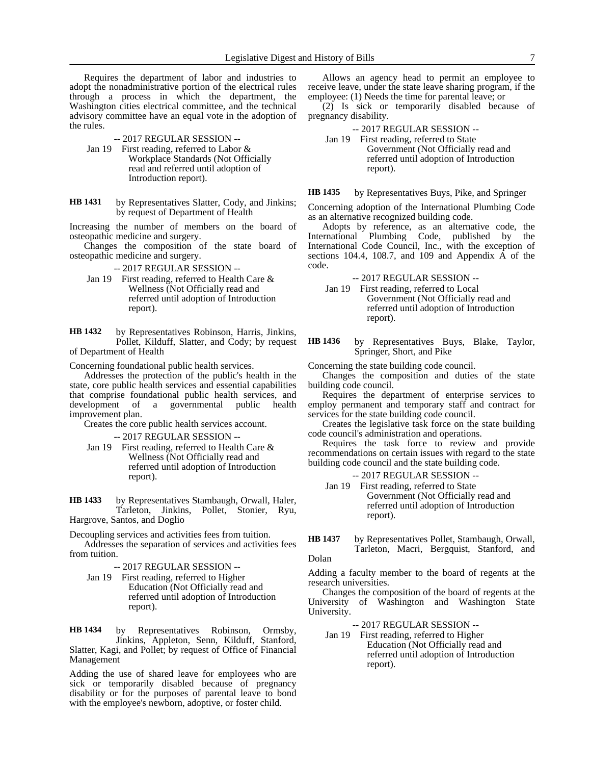Requires the department of labor and industries to adopt the nonadministrative portion of the electrical rules through a process in which the department, the Washington cities electrical committee, and the technical advisory committee have an equal vote in the adoption of the rules.

-- 2017 REGULAR SESSION --

- Jan 19 First reading, referred to Labor & Workplace Standards (Not Officially read and referred until adoption of Introduction report).
- by Representatives Slatter, Cody, and Jinkins; by request of Department of Health **HB 1431**

Increasing the number of members on the board of osteopathic medicine and surgery.

Changes the composition of the state board of osteopathic medicine and surgery.

-- 2017 REGULAR SESSION --

Jan 19 First reading, referred to Health Care & Wellness (Not Officially read and referred until adoption of Introduction report).

by Representatives Robinson, Harris, Jinkins, Pollet, Kilduff, Slatter, and Cody; by request of Department of Health **HB 1432**

Concerning foundational public health services.

Addresses the protection of the public's health in the state, core public health services and essential capabilities that comprise foundational public health services, and development of a governmental public health improvement plan.

Creates the core public health services account.

-- 2017 REGULAR SESSION --

Jan 19 First reading, referred to Health Care & Wellness (Not Officially read and referred until adoption of Introduction report).

by Representatives Stambaugh, Orwall, Haler, Tarleton, Jinkins, Pollet, Stonier, Ryu, Hargrove, Santos, and Doglio **HB 1433**

Decoupling services and activities fees from tuition. Addresses the separation of services and activities fees from tuition.

-- 2017 REGULAR SESSION --

Jan 19 First reading, referred to Higher Education (Not Officially read and referred until adoption of Introduction report).

by Representatives Robinson, Ormsby, Jinkins, Appleton, Senn, Kilduff, Stanford, Slatter, Kagi, and Pollet; by request of Office of Financial Management **HB 1434**

Adding the use of shared leave for employees who are sick or temporarily disabled because of pregnancy disability or for the purposes of parental leave to bond with the employee's newborn, adoptive, or foster child.

Allows an agency head to permit an employee to receive leave, under the state leave sharing program, if the employee: (1) Needs the time for parental leave; or

(2) Is sick or temporarily disabled because of pregnancy disability.

-- 2017 REGULAR SESSION --

Jan 19 First reading, referred to State Government (Not Officially read and referred until adoption of Introduction report).

by Representatives Buys, Pike, and Springer **HB 1435**

Concerning adoption of the International Plumbing Code as an alternative recognized building code.

Adopts by reference, as an alternative code, the International Plumbing Code, published by the International Code Council, Inc., with the exception of sections 104.4, 108.7, and 109 and Appendix  $\hat{A}$  of the code.

-- 2017 REGULAR SESSION --

Jan 19 First reading, referred to Local Government (Not Officially read and referred until adoption of Introduction report).

by Representatives Buys, Blake, Taylor, Springer, Short, and Pike **HB 1436**

Concerning the state building code council.

Changes the composition and duties of the state building code council.

Requires the department of enterprise services to employ permanent and temporary staff and contract for services for the state building code council.

Creates the legislative task force on the state building code council's administration and operations.

Requires the task force to review and provide recommendations on certain issues with regard to the state building code council and the state building code.

-- 2017 REGULAR SESSION --

Jan 19 First reading, referred to State Government (Not Officially read and referred until adoption of Introduction report).

by Representatives Pollet, Stambaugh, Orwall, Tarleton, Macri, Bergquist, Stanford, and Dolan **HB 1437**

Adding a faculty member to the board of regents at the research universities.

Changes the composition of the board of regents at the University of Washington and Washington State University.

-- 2017 REGULAR SESSION --

Jan 19 First reading, referred to Higher Education (Not Officially read and referred until adoption of Introduction report).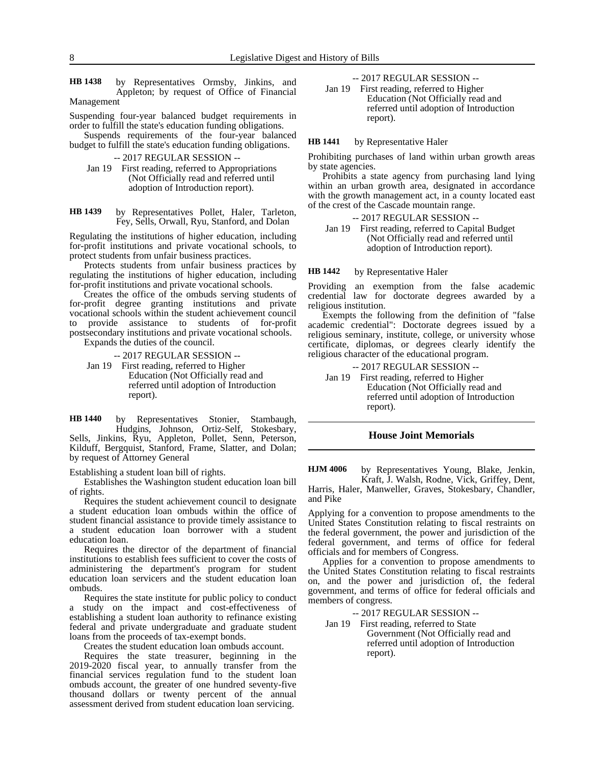by Representatives Ormsby, Jinkins, and Appleton; by request of Office of Financial Management **HB 1438**

Suspending four-year balanced budget requirements in order to fulfill the state's education funding obligations.

Suspends requirements of the four-year balanced budget to fulfill the state's education funding obligations.

-- 2017 REGULAR SESSION --

Jan 19 First reading, referred to Appropriations (Not Officially read and referred until adoption of Introduction report).

by Representatives Pollet, Haler, Tarleton, Fey, Sells, Orwall, Ryu, Stanford, and Dolan **HB 1439**

Regulating the institutions of higher education, including for-profit institutions and private vocational schools, to protect students from unfair business practices.

Protects students from unfair business practices by regulating the institutions of higher education, including for-profit institutions and private vocational schools.

Creates the office of the ombuds serving students of for-profit degree granting institutions and private vocational schools within the student achievement council to provide assistance to students of for-profit postsecondary institutions and private vocational schools.

Expands the duties of the council.

-- 2017 REGULAR SESSION --

Jan 19 First reading, referred to Higher Education (Not Officially read and referred until adoption of Introduction report).

by Representatives Stonier, Stambaugh, Hudgins, Johnson, Ortiz-Self, Stokesbary, Sells, Jinkins, Ryu, Appleton, Pollet, Senn, Peterson, Kilduff, Bergquist, Stanford, Frame, Slatter, and Dolan; by request of Attorney General **HB 1440**

Establishing a student loan bill of rights.

Establishes the Washington student education loan bill of rights.

Requires the student achievement council to designate a student education loan ombuds within the office of student financial assistance to provide timely assistance to a student education loan borrower with a student education loan.

Requires the director of the department of financial institutions to establish fees sufficient to cover the costs of administering the department's program for student education loan servicers and the student education loan ombuds.

Requires the state institute for public policy to conduct a study on the impact and cost-effectiveness of establishing a student loan authority to refinance existing federal and private undergraduate and graduate student loans from the proceeds of tax-exempt bonds.

Creates the student education loan ombuds account.

Requires the state treasurer, beginning in the 2019-2020 fiscal year, to annually transfer from the financial services regulation fund to the student loan ombuds account, the greater of one hundred seventy-five thousand dollars or twenty percent of the annual assessment derived from student education loan servicing.

-- 2017 REGULAR SESSION --

Jan 19 First reading, referred to Higher Education (Not Officially read and referred until adoption of Introduction report).

#### by Representative Haler **HB 1441**

Prohibiting purchases of land within urban growth areas by state agencies.

Prohibits a state agency from purchasing land lying within an urban growth area, designated in accordance with the growth management act, in a county located east of the crest of the Cascade mountain range.

-- 2017 REGULAR SESSION --

Jan 19 First reading, referred to Capital Budget (Not Officially read and referred until adoption of Introduction report).

by Representative Haler **HB 1442**

Providing an exemption from the false academic credential law for doctorate degrees awarded by a religious institution.

Exempts the following from the definition of "false academic credential": Doctorate degrees issued by a religious seminary, institute, college, or university whose certificate, diplomas, or degrees clearly identify the religious character of the educational program.

-- 2017 REGULAR SESSION --

Jan 19 First reading, referred to Higher Education (Not Officially read and referred until adoption of Introduction report).

# **House Joint Memorials**

by Representatives Young, Blake, Jenkin, Kraft, J. Walsh, Rodne, Vick, Griffey, Dent, **HJM 4006**

Harris, Haler, Manweller, Graves, Stokesbary, Chandler, and Pike

Applying for a convention to propose amendments to the United States Constitution relating to fiscal restraints on the federal government, the power and jurisdiction of the federal government, and terms of office for federal officials and for members of Congress.

Applies for a convention to propose amendments to the United States Constitution relating to fiscal restraints on, and the power and jurisdiction of, the federal government, and terms of office for federal officials and members of congress.

-- 2017 REGULAR SESSION --

Jan 19 First reading, referred to State Government (Not Officially read and referred until adoption of Introduction report).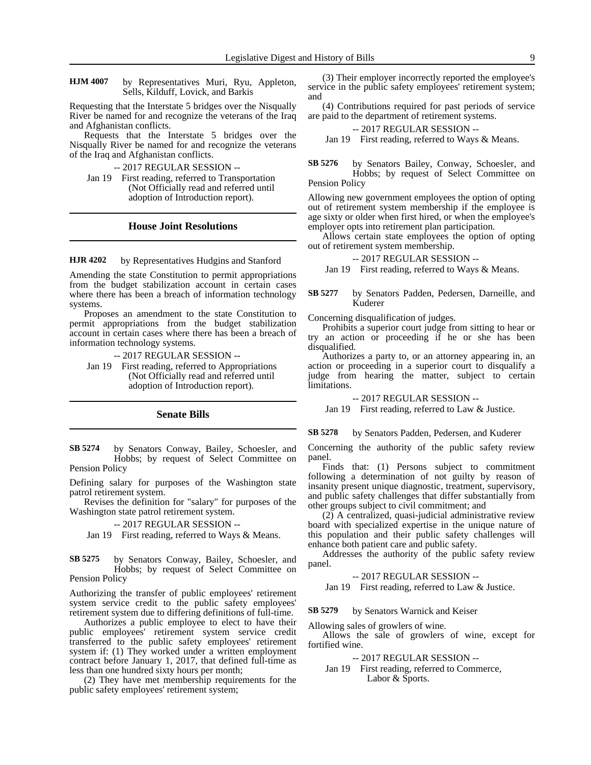by Representatives Muri, Ryu, Appleton, Sells, Kilduff, Lovick, and Barkis **HJM 4007**

Requesting that the Interstate 5 bridges over the Nisqually River be named for and recognize the veterans of the Iraq and Afghanistan conflicts.

Requests that the Interstate 5 bridges over the Nisqually River be named for and recognize the veterans of the Iraq and Afghanistan conflicts.

-- 2017 REGULAR SESSION --

Jan 19 First reading, referred to Transportation (Not Officially read and referred until adoption of Introduction report).

### **House Joint Resolutions**

#### by Representatives Hudgins and Stanford **HJR 4202**

Amending the state Constitution to permit appropriations from the budget stabilization account in certain cases where there has been a breach of information technology systems.

Proposes an amendment to the state Constitution to permit appropriations from the budget stabilization account in certain cases where there has been a breach of information technology systems.

-- 2017 REGULAR SESSION --

Jan 19 First reading, referred to Appropriations (Not Officially read and referred until adoption of Introduction report).

# **Senate Bills**

by Senators Conway, Bailey, Schoesler, and Hobbs; by request of Select Committee on Pension Policy **SB 5274**

Defining salary for purposes of the Washington state patrol retirement system.

Revises the definition for "salary" for purposes of the Washington state patrol retirement system.

-- 2017 REGULAR SESSION --

Jan 19 First reading, referred to Ways & Means.

by Senators Conway, Bailey, Schoesler, and Hobbs; by request of Select Committee on Pension Policy **SB 5275**

Authorizing the transfer of public employees' retirement system service credit to the public safety employees' retirement system due to differing definitions of full-time.

Authorizes a public employee to elect to have their public employees' retirement system service credit transferred to the public safety employees' retirement system if: (1) They worked under a written employment contract before January 1, 2017, that defined full-time as less than one hundred sixty hours per month;

(2) They have met membership requirements for the public safety employees' retirement system;

(3) Their employer incorrectly reported the employee's service in the public safety employees' retirement system; and

(4) Contributions required for past periods of service are paid to the department of retirement systems.

### -- 2017 REGULAR SESSION --

Jan 19 First reading, referred to Ways & Means.

by Senators Bailey, Conway, Schoesler, and Hobbs; by request of Select Committee on Pension Policy **SB 5276**

Allowing new government employees the option of opting out of retirement system membership if the employee is age sixty or older when first hired, or when the employee's employer opts into retirement plan participation.

Allows certain state employees the option of opting out of retirement system membership.

-- 2017 REGULAR SESSION --

Jan 19 First reading, referred to Ways & Means.

#### by Senators Padden, Pedersen, Darneille, and Kuderer **SB 5277**

Concerning disqualification of judges.

Prohibits a superior court judge from sitting to hear or try an action or proceeding if he or she has been disqualified.

Authorizes a party to, or an attorney appearing in, an action or proceeding in a superior court to disqualify a judge from hearing the matter, subject to certain limitations.

-- 2017 REGULAR SESSION --

Jan 19 First reading, referred to Law & Justice.

by Senators Padden, Pedersen, and Kuderer **SB 5278**

Concerning the authority of the public safety review panel.

Finds that: (1) Persons subject to commitment following a determination of not guilty by reason of insanity present unique diagnostic, treatment, supervisory, and public safety challenges that differ substantially from other groups subject to civil commitment; and

(2) A centralized, quasi-judicial administrative review board with specialized expertise in the unique nature of this population and their public safety challenges will enhance both patient care and public safety.

Addresses the authority of the public safety review panel.

### -- 2017 REGULAR SESSION --

Jan 19 First reading, referred to Law & Justice.

by Senators Warnick and Keiser **SB 5279**

Allowing sales of growlers of wine.

Allows the sale of growlers of wine, except for fortified wine.

-- 2017 REGULAR SESSION --

Jan 19 First reading, referred to Commerce, Labor & Sports.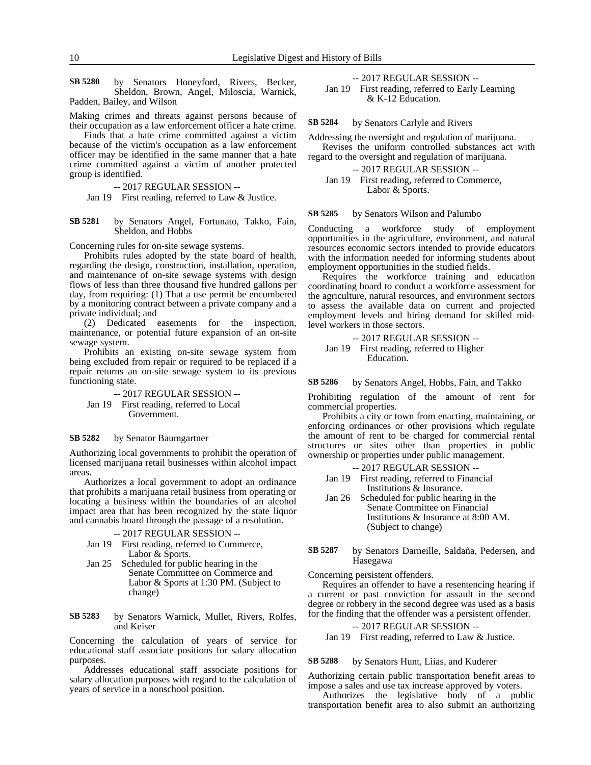by Senators Honeyford, Rivers, Becker, Sheldon, Brown, Angel, Miloscia, Warnick, Padden, Bailey, and Wilson **SB 5280**

Making crimes and threats against persons because of their occupation as a law enforcement officer a hate crime.

Finds that a hate crime committed against a victim because of the victim's occupation as a law enforcement officer may be identified in the same manner that a hate crime committed against a victim of another protected group is identified.

-- 2017 REGULAR SESSION --

Jan 19 First reading, referred to Law & Justice.

by Senators Angel, Fortunato, Takko, Fain, Sheldon, and Hobbs **SB 5281**

Concerning rules for on-site sewage systems.

Prohibits rules adopted by the state board of health, regarding the design, construction, installation, operation, and maintenance of on-site sewage systems with design flows of less than three thousand five hundred gallons per day, from requiring: (1) That a use permit be encumbered by a monitoring contract between a private company and a private individual; and

(2) Dedicated easements for the inspection, maintenance, or potential future expansion of an on-site sewage system.

Prohibits an existing on-site sewage system from being excluded from repair or required to be replaced if a repair returns an on-site sewage system to its previous functioning state.

-- 2017 REGULAR SESSION -- Jan 19 First reading, referred to Local Government.

#### by Senator Baumgartner **SB 5282**

Authorizing local governments to prohibit the operation of licensed marijuana retail businesses within alcohol impact areas.

Authorizes a local government to adopt an ordinance that prohibits a marijuana retail business from operating or locating a business within the boundaries of an alcohol impact area that has been recognized by the state liquor and cannabis board through the passage of a resolution.

-- 2017 REGULAR SESSION --

- Jan 19 First reading, referred to Commerce, Labor & Sports.
- Jan 25 Scheduled for public hearing in the Senate Committee on Commerce and Labor & Sports at 1:30 PM. (Subject to change)

by Senators Warnick, Mullet, Rivers, Rolfes, and Keiser **SB 5283**

Concerning the calculation of years of service for educational staff associate positions for salary allocation purposes.

Addresses educational staff associate positions for salary allocation purposes with regard to the calculation of years of service in a nonschool position.

-- 2017 REGULAR SESSION --

Jan 19 First reading, referred to Early Learning & K-12 Education.

by Senators Carlyle and Rivers **SB 5284**

Addressing the oversight and regulation of marijuana.

Revises the uniform controlled substances act with regard to the oversight and regulation of marijuana.

```
-- 2017 REGULAR SESSION --
```
Jan 19 First reading, referred to Commerce, Labor & Sports.

by Senators Wilson and Palumbo **SB 5285**

Conducting a workforce study of employment opportunities in the agriculture, environment, and natural resources economic sectors intended to provide educators with the information needed for informing students about employment opportunities in the studied fields.

Requires the workforce training and education coordinating board to conduct a workforce assessment for the agriculture, natural resources, and environment sectors to assess the available data on current and projected employment levels and hiring demand for skilled midlevel workers in those sectors.

-- 2017 REGULAR SESSION -- Jan 19 First reading, referred to Higher Education.

by Senators Angel, Hobbs, Fain, and Takko **SB 5286**

Prohibiting regulation of the amount of rent for commercial properties.

Prohibits a city or town from enacting, maintaining, or enforcing ordinances or other provisions which regulate the amount of rent to be charged for commercial rental structures or sites other than properties in public ownership or properties under public management.

- -- 2017 REGULAR SESSION --
- Jan 19 First reading, referred to Financial Institutions & Insurance.
- Jan 26 Scheduled for public hearing in the Senate Committee on Financial Institutions & Insurance at 8:00 AM. (Subject to change)
- by Senators Darneille, Saldaña, Pedersen, and Hasegawa **SB 5287**

Concerning persistent offenders.

Requires an offender to have a resentencing hearing if a current or past conviction for assault in the second degree or robbery in the second degree was used as a basis for the finding that the offender was a persistent offender.

### -- 2017 REGULAR SESSION --

Jan 19 First reading, referred to Law & Justice.

by Senators Hunt, Liias, and Kuderer **SB 5288**

Authorizing certain public transportation benefit areas to impose a sales and use tax increase approved by voters.

Authorizes the legislative body of a public transportation benefit area to also submit an authorizing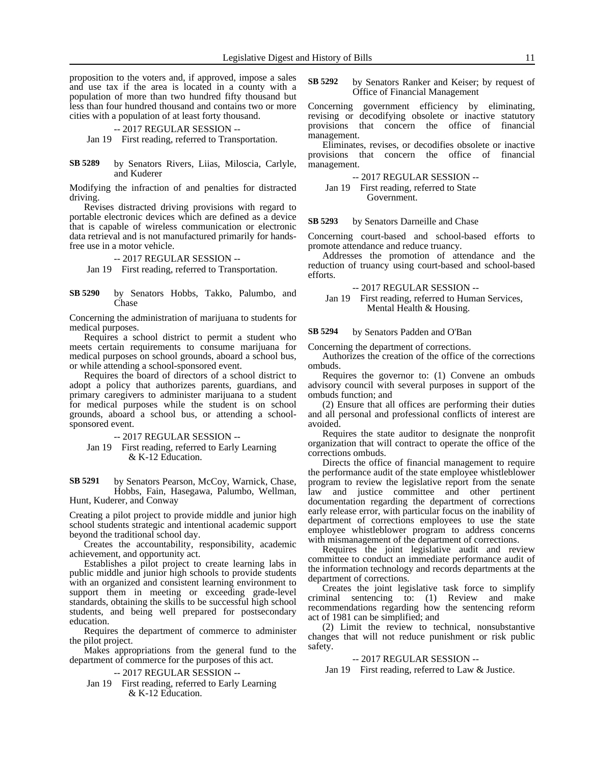proposition to the voters and, if approved, impose a sales and use tax if the area is located in a county with a population of more than two hundred fifty thousand but less than four hundred thousand and contains two or more cities with a population of at least forty thousand.

### -- 2017 REGULAR SESSION --

Jan 19 First reading, referred to Transportation.

by Senators Rivers, Liias, Miloscia, Carlyle, and Kuderer **SB 5289**

Modifying the infraction of and penalties for distracted driving.

Revises distracted driving provisions with regard to portable electronic devices which are defined as a device that is capable of wireless communication or electronic data retrieval and is not manufactured primarily for handsfree use in a motor vehicle.

### -- 2017 REGULAR SESSION --

Jan 19 First reading, referred to Transportation.

by Senators Hobbs, Takko, Palumbo, and Chase **SB 5290**

Concerning the administration of marijuana to students for medical purposes.

Requires a school district to permit a student who meets certain requirements to consume marijuana for medical purposes on school grounds, aboard a school bus, or while attending a school-sponsored event.

Requires the board of directors of a school district to adopt a policy that authorizes parents, guardians, and primary caregivers to administer marijuana to a student for medical purposes while the student is on school grounds, aboard a school bus, or attending a schoolsponsored event.

-- 2017 REGULAR SESSION --

Jan 19 First reading, referred to Early Learning & K-12 Education.

by Senators Pearson, McCoy, Warnick, Chase, Hobbs, Fain, Hasegawa, Palumbo, Wellman, Hunt, Kuderer, and Conway **SB 5291**

Creating a pilot project to provide middle and junior high school students strategic and intentional academic support beyond the traditional school day.

Creates the accountability, responsibility, academic achievement, and opportunity act.

Establishes a pilot project to create learning labs in public middle and junior high schools to provide students with an organized and consistent learning environment to support them in meeting or exceeding grade-level standards, obtaining the skills to be successful high school students, and being well prepared for postsecondary education.

Requires the department of commerce to administer the pilot project.

Makes appropriations from the general fund to the department of commerce for the purposes of this act.

-- 2017 REGULAR SESSION --

Jan 19 First reading, referred to Early Learning & K-12 Education.

by Senators Ranker and Keiser; by request of Office of Financial Management **SB 5292**

Concerning government efficiency by eliminating, revising or decodifying obsolete or inactive statutory provisions that concern the office of financial management.

Eliminates, revises, or decodifies obsolete or inactive provisions that concern the office of financial management.

-- 2017 REGULAR SESSION --

Jan 19 First reading, referred to State Government.

by Senators Darneille and Chase **SB 5293**

Concerning court-based and school-based efforts to promote attendance and reduce truancy.

Addresses the promotion of attendance and the reduction of truancy using court-based and school-based efforts.

-- 2017 REGULAR SESSION --

Jan 19 First reading, referred to Human Services, Mental Health & Housing.

by Senators Padden and O'Ban **SB 5294**

Concerning the department of corrections.

Authorizes the creation of the office of the corrections ombuds.

Requires the governor to: (1) Convene an ombuds advisory council with several purposes in support of the ombuds function; and

(2) Ensure that all offices are performing their duties and all personal and professional conflicts of interest are avoided.

Requires the state auditor to designate the nonprofit organization that will contract to operate the office of the corrections ombuds.

Directs the office of financial management to require the performance audit of the state employee whistleblower program to review the legislative report from the senate law and justice committee and other pertinent documentation regarding the department of corrections early release error, with particular focus on the inability of department of corrections employees to use the state employee whistleblower program to address concerns with mismanagement of the department of corrections.

Requires the joint legislative audit and review committee to conduct an immediate performance audit of the information technology and records departments at the department of corrections.

Creates the joint legislative task force to simplify criminal sentencing to: (1) Review and make recommendations regarding how the sentencing reform act of 1981 can be simplified; and

(2) Limit the review to technical, nonsubstantive changes that will not reduce punishment or risk public safety.

-- 2017 REGULAR SESSION --

Jan 19 First reading, referred to Law & Justice.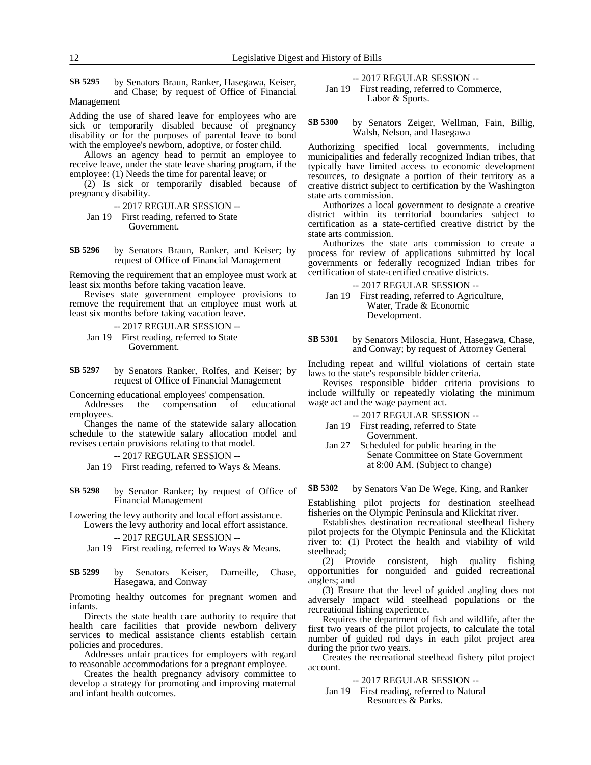by Senators Braun, Ranker, Hasegawa, Keiser, and Chase; by request of Office of Financial Management **SB 5295**

Adding the use of shared leave for employees who are sick or temporarily disabled because of pregnancy disability or for the purposes of parental leave to bond with the employee's newborn, adoptive, or foster child.

Allows an agency head to permit an employee to receive leave, under the state leave sharing program, if the employee: (1) Needs the time for parental leave; or

(2) Is sick or temporarily disabled because of pregnancy disability.

- -- 2017 REGULAR SESSION --
- Jan 19 First reading, referred to State Government.
- by Senators Braun, Ranker, and Keiser; by request of Office of Financial Management **SB 5296**

Removing the requirement that an employee must work at least six months before taking vacation leave.

Revises state government employee provisions to remove the requirement that an employee must work at least six months before taking vacation leave.

-- 2017 REGULAR SESSION -- Jan 19 First reading, referred to State Government.

by Senators Ranker, Rolfes, and Keiser; by request of Office of Financial Management **SB 5297**

Concerning educational employees' compensation. the compensation of educational employees.

Changes the name of the statewide salary allocation schedule to the statewide salary allocation model and revises certain provisions relating to that model.

-- 2017 REGULAR SESSION --

Jan 19 First reading, referred to Ways & Means.

by Senator Ranker; by request of Office of Financial Management **SB 5298**

Lowering the levy authority and local effort assistance. Lowers the levy authority and local effort assistance.

-- 2017 REGULAR SESSION --

Jan 19 First reading, referred to Ways & Means.

by Senators Keiser, Darneille, Chase, Hasegawa, and Conway **SB 5299**

Promoting healthy outcomes for pregnant women and infants.

Directs the state health care authority to require that health care facilities that provide newborn delivery services to medical assistance clients establish certain policies and procedures.

Addresses unfair practices for employers with regard to reasonable accommodations for a pregnant employee.

Creates the health pregnancy advisory committee to develop a strategy for promoting and improving maternal and infant health outcomes.

-- 2017 REGULAR SESSION --

Jan 19 First reading, referred to Commerce, Labor & Sports.

by Senators Zeiger, Wellman, Fain, Billig, Walsh, Nelson, and Hasegawa **SB 5300**

Authorizing specified local governments, including municipalities and federally recognized Indian tribes, that typically have limited access to economic development resources, to designate a portion of their territory as a creative district subject to certification by the Washington state arts commission.

Authorizes a local government to designate a creative district within its territorial boundaries subject to certification as a state-certified creative district by the state arts commission.

Authorizes the state arts commission to create a process for review of applications submitted by local governments or federally recognized Indian tribes for certification of state-certified creative districts.

-- 2017 REGULAR SESSION --

Jan 19 First reading, referred to Agriculture, Water, Trade & Economic Development.

by Senators Miloscia, Hunt, Hasegawa, Chase, and Conway; by request of Attorney General **SB 5301**

Including repeat and willful violations of certain state laws to the state's responsible bidder criteria.

Revises responsible bidder criteria provisions to include willfully or repeatedly violating the minimum wage act and the wage payment act.

-- 2017 REGULAR SESSION --

- Jan 19 First reading, referred to State Government.
- Jan 27 Scheduled for public hearing in the Senate Committee on State Government at 8:00 AM. (Subject to change)

by Senators Van De Wege, King, and Ranker **SB 5302**

Establishing pilot projects for destination steelhead fisheries on the Olympic Peninsula and Klickitat river.

Establishes destination recreational steelhead fishery pilot projects for the Olympic Peninsula and the Klickitat river to: (1) Protect the health and viability of wild steelhead;

(2) Provide consistent, high quality fishing opportunities for nonguided and guided recreational anglers; and

(3) Ensure that the level of guided angling does not adversely impact wild steelhead populations or the recreational fishing experience.

Requires the department of fish and wildlife, after the first two years of the pilot projects, to calculate the total number of guided rod days in each pilot project area during the prior two years.

Creates the recreational steelhead fishery pilot project account.

-- 2017 REGULAR SESSION --

Jan 19 First reading, referred to Natural Resources & Parks.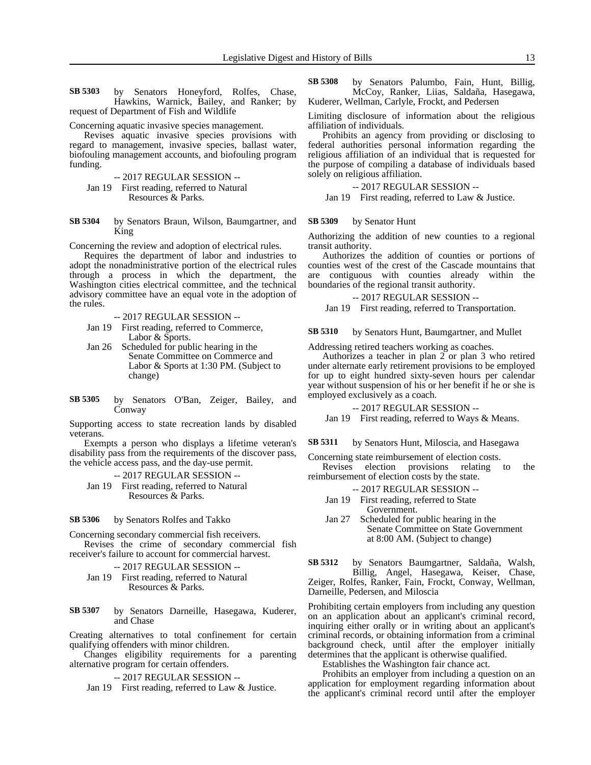by Senators Honeyford, Rolfes, Chase, Hawkins, Warnick, Bailey, and Ranker; by request of Department of Fish and Wildlife **SB 5303**

Concerning aquatic invasive species management.

Revises aquatic invasive species provisions with regard to management, invasive species, ballast water, biofouling management accounts, and biofouling program funding.

- -- 2017 REGULAR SESSION --
- Jan 19 First reading, referred to Natural Resources & Parks.
- by Senators Braun, Wilson, Baumgartner, and King **SB 5304**

Concerning the review and adoption of electrical rules.

Requires the department of labor and industries to adopt the nonadministrative portion of the electrical rules through a process in which the department, the Washington cities electrical committee, and the technical advisory committee have an equal vote in the adoption of the rules.

-- 2017 REGULAR SESSION --

- Jan 19 First reading, referred to Commerce, Labor & Sports.
- Jan 26 Scheduled for public hearing in the Senate Committee on Commerce and Labor & Sports at 1:30 PM. (Subject to change)
- by Senators O'Ban, Zeiger, Bailey, and Conway **SB 5305**

Supporting access to state recreation lands by disabled veterans.

Exempts a person who displays a lifetime veteran's disability pass from the requirements of the discover pass, the vehicle access pass, and the day-use permit.

-- 2017 REGULAR SESSION --

Jan 19 First reading, referred to Natural Resources & Parks.

#### by Senators Rolfes and Takko **SB 5306**

Concerning secondary commercial fish receivers.

Revises the crime of secondary commercial fish receiver's failure to account for commercial harvest.

- -- 2017 REGULAR SESSION --
- Jan 19 First reading, referred to Natural Resources & Parks.

by Senators Darneille, Hasegawa, Kuderer, and Chase **SB 5307**

Creating alternatives to total confinement for certain qualifying offenders with minor children.

Changes eligibility requirements for a parenting alternative program for certain offenders.

-- 2017 REGULAR SESSION --

Jan 19 First reading, referred to Law & Justice.

by Senators Palumbo, Fain, Hunt, Billig, McCoy, Ranker, Liias, Saldaña, Hasegawa, Kuderer, Wellman, Carlyle, Frockt, and Pedersen **SB 5308**

Limiting disclosure of information about the religious affiliation of individuals.

Prohibits an agency from providing or disclosing to federal authorities personal information regarding the religious affiliation of an individual that is requested for the purpose of compiling a database of individuals based solely on religious affiliation.

-- 2017 REGULAR SESSION --

Jan 19 First reading, referred to Law & Justice.

#### by Senator Hunt **SB 5309**

Authorizing the addition of new counties to a regional transit authority.

Authorizes the addition of counties or portions of counties west of the crest of the Cascade mountains that are contiguous with counties already within the boundaries of the regional transit authority.

-- 2017 REGULAR SESSION --

Jan 19 First reading, referred to Transportation.

by Senators Hunt, Baumgartner, and Mullet **SB 5310**

Addressing retired teachers working as coaches.

Authorizes a teacher in plan  $2$  or plan 3 who retired under alternate early retirement provisions to be employed for up to eight hundred sixty-seven hours per calendar year without suspension of his or her benefit if he or she is employed exclusively as a coach.

-- 2017 REGULAR SESSION --

Jan 19 First reading, referred to Ways & Means.

by Senators Hunt, Miloscia, and Hasegawa **SB 5311**

Concerning state reimbursement of election costs. Revises election provisions relating to the

reimbursement of election costs by the state.

- -- 2017 REGULAR SESSION --
- Jan 19 First reading, referred to State Government.
- Jan 27 Scheduled for public hearing in the Senate Committee on State Government at 8:00 AM. (Subject to change)

by Senators Baumgartner, Saldaña, Walsh, **SB 5312**

Billig, Angel, Hasegawa, Keiser, Chase, Zeiger, Rolfes, Ranker, Fain, Frockt, Conway, Wellman, Darneille, Pedersen, and Miloscia

Prohibiting certain employers from including any question on an application about an applicant's criminal record, inquiring either orally or in writing about an applicant's criminal records, or obtaining information from a criminal background check, until after the employer initially determines that the applicant is otherwise qualified.

Establishes the Washington fair chance act.

Prohibits an employer from including a question on an application for employment regarding information about the applicant's criminal record until after the employer